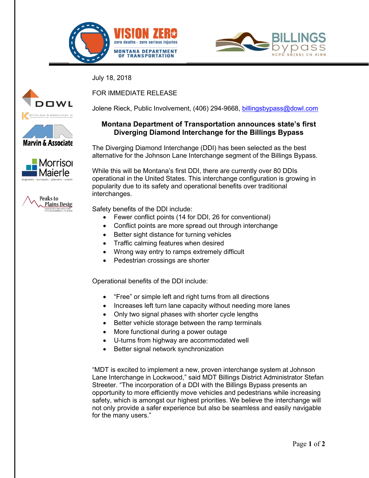



July 18, 2018









FOR IMMEDIATE RELEASE

Jolene Rieck, Public Involvement, (406) 294-9668, billingsbypass@dowl.com

## **Montana Department of Transportation announces state's first Diverging Diamond Interchange for the Billings Bypass**

The Diverging Diamond Interchange (DDI) has been selected as the best alternative for the Johnson Lane Interchange segment of the Billings Bypass.

While this will be Montana's first DDI, there are currently over 80 DDIs operational in the United States. This interchange configuration is growing in popularity due to its safety and operational benefits over traditional interchanges.

Safety benefits of the DDI include:

- Fewer conflict points (14 for DDI, 26 for conventional)
- Conflict points are more spread out through interchange
- Better sight distance for turning vehicles
- Traffic calming features when desired
- Wrong way entry to ramps extremely difficult
- Pedestrian crossings are shorter

Operational benefits of the DDI include:

- "Free" or simple left and right turns from all directions
- Increases left turn lane capacity without needing more lanes
- Only two signal phases with shorter cycle lengths
- Better vehicle storage between the ramp terminals
- More functional during a power outage
- U-turns from highway are accommodated well
- Better signal network synchronization

"MDT is excited to implement a new, proven interchange system at Johnson Lane Interchange in Lockwood," said MDT Billings District Administrator Stefan Streeter. "The incorporation of a DDI with the Billings Bypass presents an opportunity to more efficiently move vehicles and pedestrians while increasing safety, which is amongst our highest priorities. We believe the interchange will not only provide a safer experience but also be seamless and easily navigable for the many users."